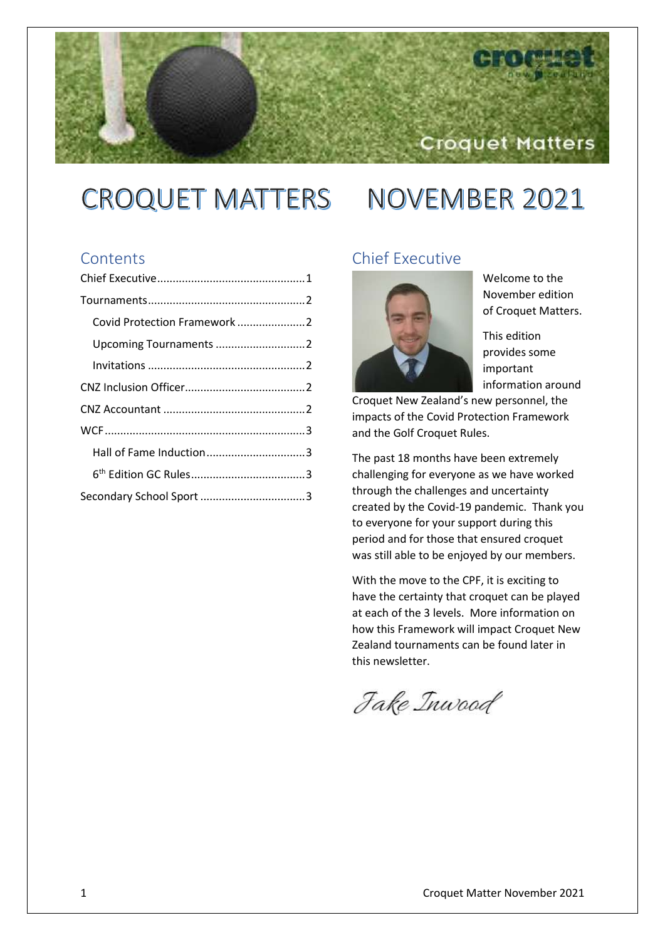# CROQUET MATTERS NOVEMBER 2021

## **Contents**

| Covid Protection Framework 2 |  |
|------------------------------|--|
| Upcoming Tournaments 2       |  |
|                              |  |
|                              |  |
|                              |  |
|                              |  |
| Hall of Fame Induction3      |  |
|                              |  |
|                              |  |
|                              |  |

## <span id="page-0-0"></span>Chief Executive



Welcome to the November edition of Croquet Matters.

Croquet Matters

This edition provides some important information around

Croquet New Zealand's new personnel, the impacts of the Covid Protection Framework and the Golf Croquet Rules.

The past 18 months have been extremely challenging for everyone as we have worked through the challenges and uncertainty created by the Covid-19 pandemic. Thank you to everyone for your support during this period and for those that ensured croquet was still able to be enjoyed by our members.

With the move to the CPF, it is exciting to have the certainty that croquet can be played at each of the 3 levels. More information on how this Framework will impact Croquet New Zealand tournaments can be found later in this newsletter.

Jake Inwood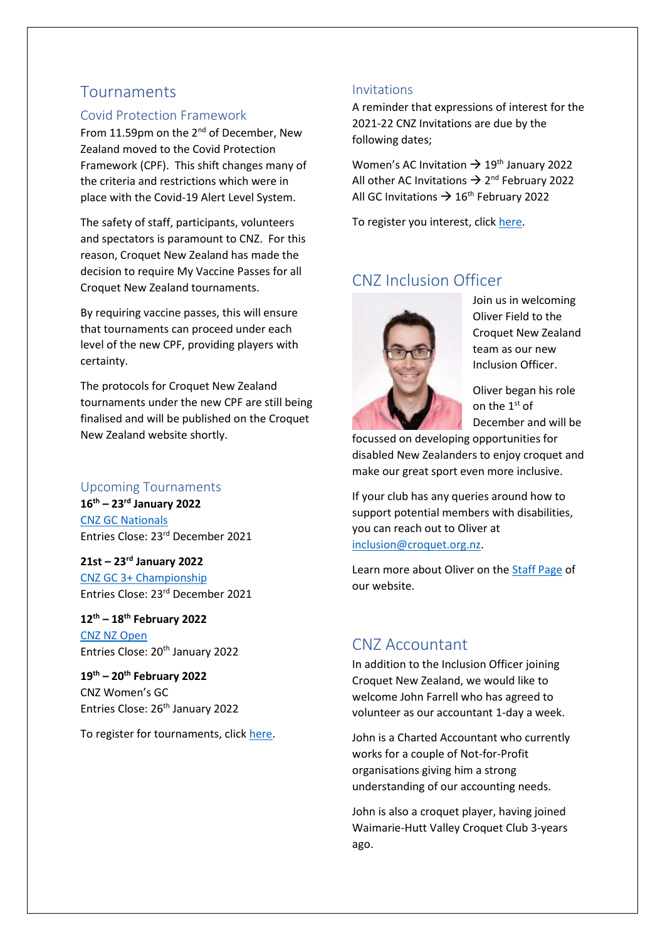# <span id="page-1-0"></span>Tournaments

#### <span id="page-1-1"></span>Covid Protection Framework

From 11.59pm on the 2<sup>nd</sup> of December, New Zealand moved to the Covid Protection Framework (CPF). This shift changes many of the criteria and restrictions which were in place with the Covid-19 Alert Level System.

The safety of staff, participants, volunteers and spectators is paramount to CNZ. For this reason, Croquet New Zealand has made the decision to require My Vaccine Passes for all Croquet New Zealand tournaments.

By requiring vaccine passes, this will ensure that tournaments can proceed under each level of the new CPF, providing players with certainty.

The protocols for Croquet New Zealand tournaments under the new CPF are still being finalised and will be published on the Croquet New Zealand website shortly.

#### <span id="page-1-2"></span>Upcoming Tournaments

**16th – 23rd January 2022** [CNZ GC Nationals](https://croquet.org.nz/tournament/gc-nationals/) Entries Close: 23rd December 2021

**21st – 23rd January 2022** [CNZ GC 3+ Championship](https://croquet.org.nz/tournament/gc-3/) Entries Close: 23rd December 2021

**12th – 18th February 2022** [CNZ NZ Open](https://croquet.org.nz/tournament/new-zealand-open/) Entries Close: 20<sup>th</sup> January 2022

**19th – 20th February 2022** CNZ Women's GC Entries Close: 26<sup>th</sup> January 2022

To register for tournaments, click [here.](https://eventdesq.sportstg.com/index.cfm?fuseaction=main&EventDesqID=37180&OrgID=4277)

#### <span id="page-1-3"></span>Invitations

A reminder that expressions of interest for the 2021-22 CNZ Invitations are due by the following dates;

Women's AC Invitation  $\rightarrow$  19<sup>th</sup> January 2022 All other AC Invitations  $\rightarrow$  2<sup>nd</sup> February 2022 All GC Invitations  $\rightarrow$  16<sup>th</sup> February 2022

To register you interest, clic[k here.](https://eventdesq.sportstg.com/index.cfm?fuseaction=main&EventDesqID=37915&OrgID=4277)

# <span id="page-1-4"></span>CNZ Inclusion Officer



Join us in welcoming Oliver Field to the Croquet New Zealand team as our new Inclusion Officer.

Oliver began his role on the 1<sup>st</sup> of December and will be

focussed on developing opportunities for disabled New Zealanders to enjoy croquet and make our great sport even more inclusive.

If your club has any queries around how to support potential members with disabilities, you can reach out to Oliver at [inclusion@croquet.org.nz.](mailto:inclusion@croquet.org.nz)

Learn more about Oliver on th[e Staff Page](https://croquet.org.nz/nz-croquet/croquet-new-zealand-staff/) of our website.

## <span id="page-1-5"></span>CNZ Accountant

In addition to the Inclusion Officer joining Croquet New Zealand, we would like to welcome John Farrell who has agreed to volunteer as our accountant 1-day a week.

John is a Charted Accountant who currently works for a couple of Not-for-Profit organisations giving him a strong understanding of our accounting needs.

John is also a croquet player, having joined Waimarie-Hutt Valley Croquet Club 3-years ago.